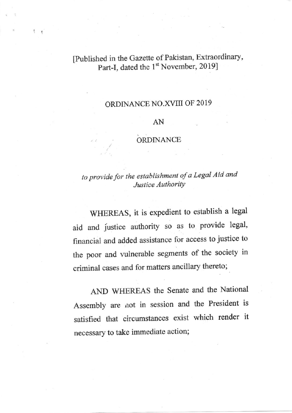# [Published in the Gazette of Pakistan, Extraordinary, Part-I, dated the 1<sup>st</sup> November, 2019]

 $1<sub>1</sub>$ 

### ORDINANCE NO.XVIII OF 2019

#### AN

### ORDINANCE

# to provide for rhe establishment of a Legal Aid and Justice Authority

WHEREAS, it is expedient to establish a legal aid and jistice authority so as to provide legal, financial and added assistance for access to justice to the poor and vulnerable segments of the society in criminal cases and for matters ancillary thereto;

AND WffiREAS the Senate and the National Assembly are not in session and the President is satisfied that circumstances exist which render it necessary to take immediate action;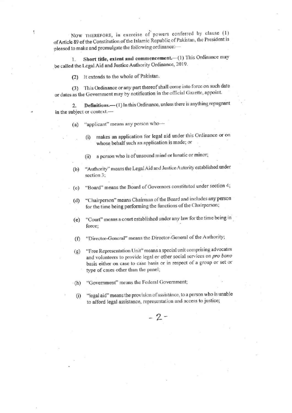NOW THEREFORE, in exercise of powers conferred by clause (1) of Article 89 of the Constitution of the Islamic Republic of Pakistan, the President is pleased to make and promulgate the following ordinance:-

Short title, extent and commencement.-(1) This Ordinance may 1. be called the Legal Aid and Justice Authority Ordinance, 2019.

(2) It extends to the whole of Pakistan.

ŧ

(3) This Ordinance or any part thereof shall come into force on such date or dates as the Government may by notification in the official Gazette, appoint.

Definitions.- (1) In this Ordinance, unless there is anything repugnant  $2.$ in the subject or context.-

- "applicant" means any person who- $(a)$ 
	- makes an application for legal aid under this Ordinance or on  $(i)$ whose behalf such an application is made; or
	- a person who is of unsound mind or lunatic or minor;  $(ii)$
- "Authority" means the Legal Aid and Justice Autority established under  $(b)$ section 3;
- "Board" means the Board of Governors constituted under section 4;  $(c)$
- "Chairperson" means Chairman of the Board and includes any person  $(d)$ for the time being performing the functions of the Chairperson;
- "Court" means a court established under any law for the time being in  $(e)$ force;
- "Director-General" means the Director-General of the Authority;  $(f)$
- "Free Representation Unit" means a special unit comprising advocates  $(g)$ and volunteers to provide legal or other social services on pro bono basis either on case to case basis or in respect of a group or set or type of cases other than the panel;
- "Government" means the Federal Government;  $(h)$
- "legal aid" means the provision of assistance, to a person who is unable  $(i)$ to afford legal assistance, representation and access to justice;

 $-2-$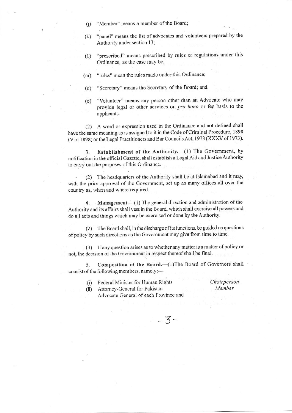- "Member" means a member of the Board;  $(i)$
- "panel" means the list of advocates and volunteers prepared by the  $(k)$ Authority under section 13;
- "prescribed" means prescribed by rules or regulations under this  $(1)$ Ordinance, as the case may be;
- "rules" mean the rules made under this Ordinance;  $(m)$
- "Secretary" means the Secretary of the Board; and  $(n)$
- "Volunteer" means any person other than an Advocate who may  $\circ$ provide legal or other services on pro bono or fee basis to the applicants.

(2) A word or expression used in the Ordinance and not defined shall have the same meaning as is assigned to it in the Code of Criminal Procedure, 1898 (V of 1898) or the Legal Practitioners and Bar Councils Act, 1973 (XXXV of 1973).

Establishment of the Authority.-(1) The Government, by 3. notification in the official Gazette, shall establish a Legal Aid and Justice Authority to carry out the purposes of this Ordinance.

(2) The headquarters of the Authority shall be at Islamabad and it may, with the prior approval of the Government, set up as many offices all over the country as, when and where required.

Management.-(1) The general direction and administration of the  $4_{\cdot}$ Authority and its affairs shall vest in the Board, which shall exercise all powers and do all acts and things which may be exercised or done by the Authority.

(2) The Board shall, in the discharge of its functions, be guided on questions of policy by such directions as the Government may give from time to time.

(3) If any question arises as to whether any matter is a matter of policy or not, the decision of the Government in respect thereof shall be final.

Composition of the Board.-(1)The Board of Governors shall 5. consist of the following members, namely:-

 $-3-$ 

Federal Minister for Human Rights  $(i)$ 

Chairperson Member

Attorney-General for Pakistan  $(ii)$ Advocate General of each Province and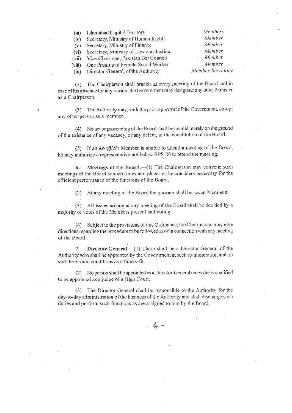**Islamabad Capital Territory**  $(iii)$ Secretary, Ministry of Human Rights  $(iv)$ Secretary, Ministry of Finance  $(v)$ Secretary, Ministry of Law and Justice  $(vi)$ Vice-Chairman, Pakistan Bar Council  $(vii)$ One Prominent Female Social Worker  $(viii)$ Director-General, of the Authority  $(ix)$ 

Member Member/Secretary

Members

Member

Member

Member

Member

(2) The Chairperson shall preside at every meeting of the Board and in case of his absence for any reason, the Government may designate any other Minister as a Chairperson.

(3) The Authority may, with the prior approval of the Government, co-opt any other person as a member.

(4) No act or proceeding of the Board shall be invalid merely on the ground of the existence of any vacancy, or any defect, in the constitution of the Board.

(5) If an ex-officio Member is unable to attend a meeting of the Board, he may authorize a representative not below BPS-20 to attend the meeting.

6. Meetings of the Board.—(1) The Chairperson may convene such meetings of the Board at such times and places as he considers necessary for the efficient performance of the functions of the Board.

At any meeting of the Board the quorum shall be seven Members.  $(2)$ 

(3) All issues arising at any meeting of the Board shall be decided by a majority of votes of the Members present and voting.

(4) Subject to the provisions of this Ordinance, the Chairperson may give directions regarding the procedure to be followed at or in connection with any meeting of the Board.

Director-General.-- (1) There shall be a Director-General of the 7. Authority who shall be appointed by the Government at such re-muneration and on such terms and conditions as it thinks-fit.

(2) No person shall be appointed as a Director-General unless he is qualified to be appointed as a judge of a High Court.

(3) The Director-General shall be responsible to the Authority for the day-to-day administration of the business of the Authority and shall discharge such duties and perform such functions as are assigned to him by the Board.

 $-4-$